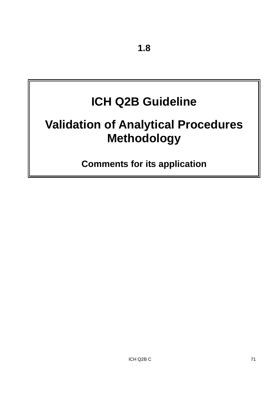# **ICH Q2B Guideline**

# **Validation of Analytical Procedures Methodology**

**Comments for its application**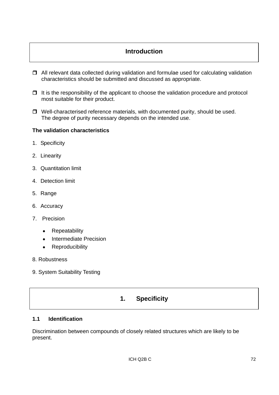# **Introduction**

- $\Box$  All relevant data collected during validation and formulae used for calculating validation characteristics should be submitted and discussed as appropriate.
- $\Box$  It is the responsibility of the applicant to choose the validation procedure and protocol most suitable for their product.
- $\Box$  Well-characterised reference materials, with documented purity, should be used. The degree of purity necessary depends on the intended use.

## **The validation characteristics**

- 1. Specificity
- 2. Linearity
- 3. Quantitation limit
- 4. Detection limit
- 5. Range
- 6. Accuracy
- 7. Precision
	- Repeatability
	- Intermediate Precision
	- Reproducibility
- 8. Robustness
- 9. System Suitability Testing

# **1. Specificity**

## **1.1 Identification**

Discrimination between compounds of closely related structures which are likely to be present.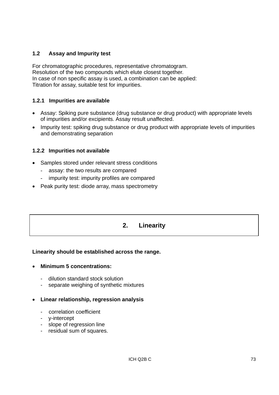## **1.2 Assay and Impurity test**

For chromatographic procedures, representative chromatogram. Resolution of the two compounds which elute closest together. In case of non specific assay is used, a combination can be applied: Titration for assay, suitable test for impurities.

## **1.2.1 Impurities are available**

- Assay: Spiking pure substance (drug substance or drug product) with appropriate levels of impurities and/or excipients. Assay result unaffected.
- Impurity test: spiking drug substance or drug product with appropriate levels of impurities and demonstrating separation

## **1.2.2 Impurities not available**

- Samples stored under relevant stress conditions
	- assay: the two results are compared
	- impurity test: impurity profiles are compared
- Peak purity test: diode array, mass spectrometry

# **2. Linearity**

## **Linearity should be established across the range.**

#### • **Minimum 5 concentrations:**

- dilution standard stock solution
- separate weighing of synthetic mixtures

## • **Linear relationship, regression analysis**

- correlation coefficient
- y-intercept
- slope of regression line
- residual sum of squares.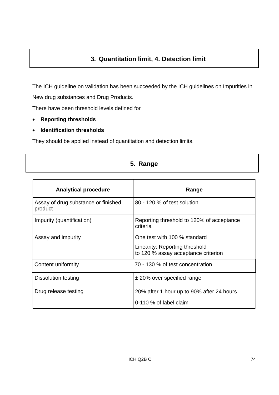# **3. Quantitation limit, 4. Detection limit**

The ICH guideline on validation has been succeeded by the ICH guidelines on Impurities in New drug substances and Drug Products.

There have been threshold levels defined for

- **Reporting thresholds**
- **Identification thresholds**

They should be applied instead of quantitation and detection limits.

| 5. Range |
|----------|
|          |

| <b>Analytical procedure</b>                    | Range                                                                 |
|------------------------------------------------|-----------------------------------------------------------------------|
| Assay of drug substance or finished<br>product | 80 - 120 % of test solution                                           |
| Impurity (quantification)                      | Reporting threshold to 120% of acceptance<br>criteria                 |
| Assay and impurity                             | One test with 100 % standard                                          |
|                                                | Linearity: Reporting threshold<br>to 120 % assay acceptance criterion |
| Content uniformity                             | 70 - 130 % of test concentration                                      |
| Dissolution testing                            | $\pm$ 20% over specified range                                        |
| Drug release testing                           | 20% after 1 hour up to 90% after 24 hours                             |
|                                                | 0-110 % of label claim                                                |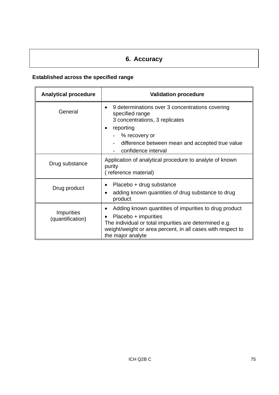# **6. Accuracy**

# **Established across the specified range**

| <b>Analytical procedure</b>           | <b>Validation procedure</b>                                                                                                                                                                                                                   |  |
|---------------------------------------|-----------------------------------------------------------------------------------------------------------------------------------------------------------------------------------------------------------------------------------------------|--|
| General                               | 9 determinations over 3 concentrations covering<br>$\bullet$<br>specified range<br>3 concentrations, 3 replicates<br>reporting<br>$\bullet$<br>- % recovery or<br>difference between mean and accepted true value<br>confidence interval      |  |
| Drug substance                        | Application of analytical procedure to analyte of known<br>purity<br>(reference material)                                                                                                                                                     |  |
| Drug product                          | Placebo + drug substance<br>adding known quantities of drug substance to drug<br>$\bullet$<br>product                                                                                                                                         |  |
| <b>Impurities</b><br>(quantification) | Adding known quantities of impurities to drug product<br>٠<br>Placebo + impurities<br>$\bullet$<br>The individual or total impurities are determined e.g.<br>weight/weight or area percent, in all cases with respect to<br>the major analyte |  |